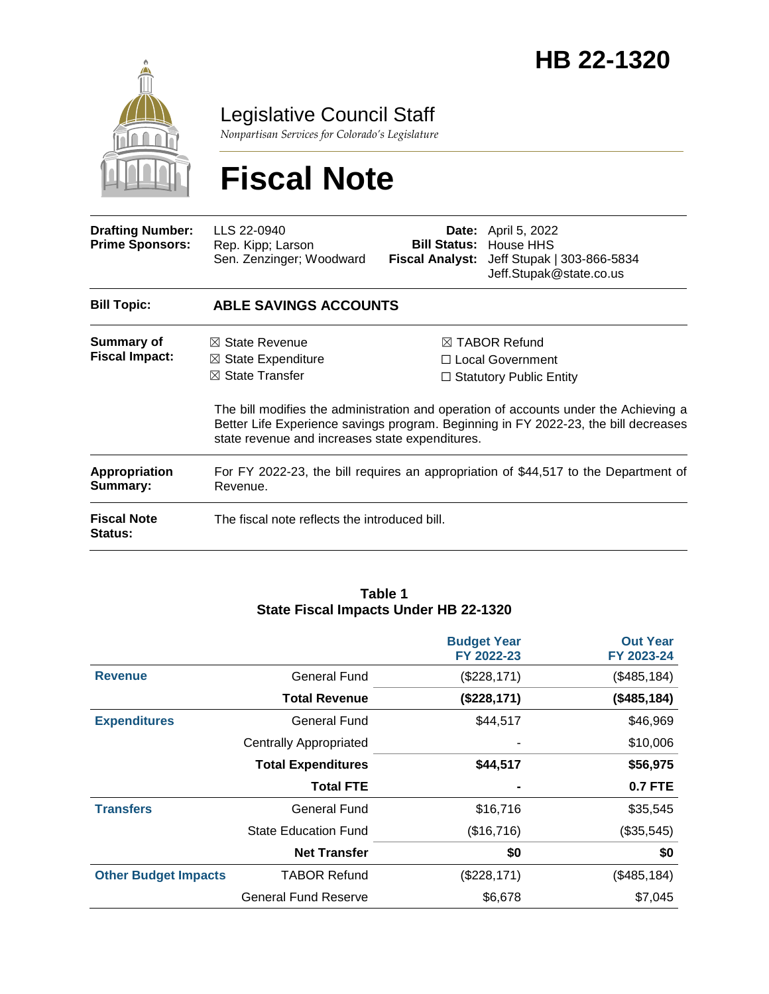

Legislative Council Staff

*Nonpartisan Services for Colorado's Legislature*

# **Fiscal Note**

| <b>Drafting Number:</b><br><b>Prime Sponsors:</b> | LLS 22-0940<br>Rep. Kipp; Larson<br>Sen. Zenzinger; Woodward                                                                                                                                                                   | <b>Bill Status:</b>                                                                   | <b>Date:</b> April 5, 2022<br>House HHS<br>Fiscal Analyst: Jeff Stupak   303-866-5834<br>Jeff.Stupak@state.co.us |
|---------------------------------------------------|--------------------------------------------------------------------------------------------------------------------------------------------------------------------------------------------------------------------------------|---------------------------------------------------------------------------------------|------------------------------------------------------------------------------------------------------------------|
| <b>Bill Topic:</b>                                | <b>ABLE SAVINGS ACCOUNTS</b>                                                                                                                                                                                                   |                                                                                       |                                                                                                                  |
| Summary of<br><b>Fiscal Impact:</b>               | $\boxtimes$ State Revenue<br>$\boxtimes$ State Expenditure<br>$\boxtimes$ State Transfer                                                                                                                                       | $\boxtimes$ TABOR Refund<br>$\Box$ Local Government<br>$\Box$ Statutory Public Entity |                                                                                                                  |
|                                                   | The bill modifies the administration and operation of accounts under the Achieving a<br>Better Life Experience savings program. Beginning in FY 2022-23, the bill decreases<br>state revenue and increases state expenditures. |                                                                                       |                                                                                                                  |
| <b>Appropriation</b><br>Summary:                  | For FY 2022-23, the bill requires an appropriation of \$44,517 to the Department of<br>Revenue.                                                                                                                                |                                                                                       |                                                                                                                  |
| <b>Fiscal Note</b><br><b>Status:</b>              | The fiscal note reflects the introduced bill.                                                                                                                                                                                  |                                                                                       |                                                                                                                  |

#### **Table 1 State Fiscal Impacts Under HB 22-1320**

|                             |                               | <b>Budget Year</b><br>FY 2022-23 | <b>Out Year</b><br>FY 2023-24 |
|-----------------------------|-------------------------------|----------------------------------|-------------------------------|
| <b>Revenue</b>              | <b>General Fund</b>           | (\$228,171)                      | (\$485, 184)                  |
|                             | <b>Total Revenue</b>          | (\$228,171)                      | (\$485,184)                   |
| <b>Expenditures</b>         | General Fund                  | \$44,517                         | \$46,969                      |
|                             | <b>Centrally Appropriated</b> |                                  | \$10,006                      |
|                             | <b>Total Expenditures</b>     | \$44,517                         | \$56,975                      |
|                             | <b>Total FTE</b>              |                                  | <b>0.7 FTE</b>                |
| <b>Transfers</b>            | General Fund                  | \$16,716                         | \$35,545                      |
|                             | <b>State Education Fund</b>   | (\$16,716)                       | (\$35,545)                    |
|                             | <b>Net Transfer</b>           | \$0                              | \$0                           |
| <b>Other Budget Impacts</b> | <b>TABOR Refund</b>           | (\$228,171)                      | (\$485, 184)                  |
|                             | <b>General Fund Reserve</b>   | \$6,678                          | \$7,045                       |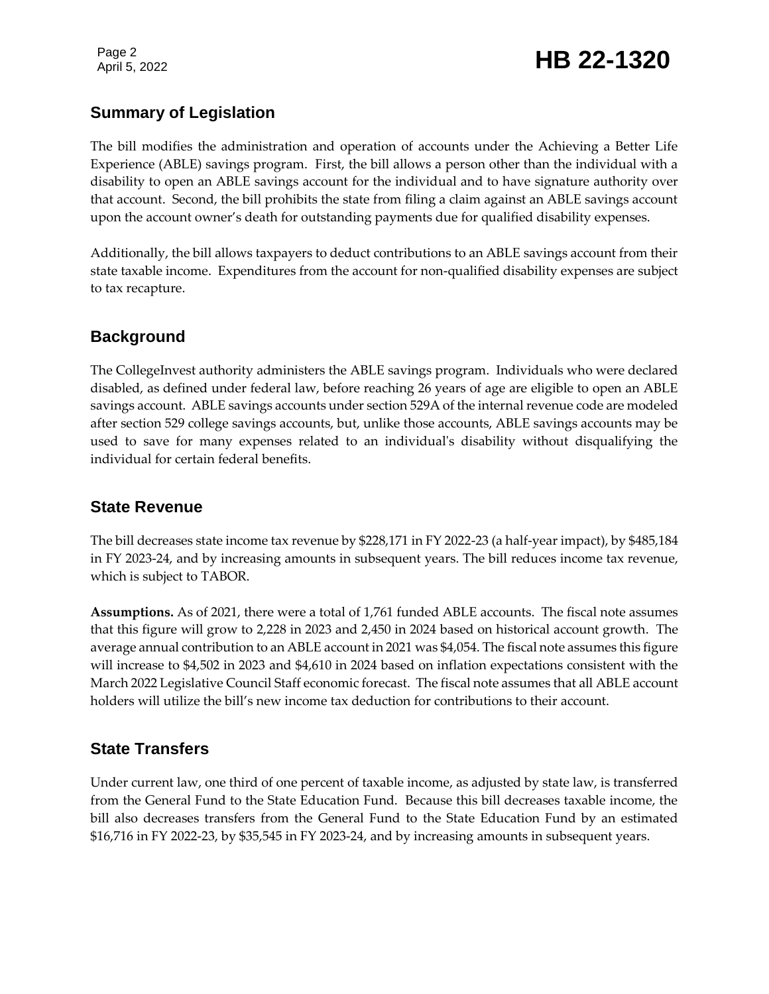## Page 2<br>April 5, 2022 **HB 22-1320**

## **Summary of Legislation**

The bill modifies the administration and operation of accounts under the Achieving a Better Life Experience (ABLE) savings program. First, the bill allows a person other than the individual with a disability to open an ABLE savings account for the individual and to have signature authority over that account. Second, the bill prohibits the state from filing a claim against an ABLE savings account upon the account owner's death for outstanding payments due for qualified disability expenses.

Additionally, the bill allows taxpayers to deduct contributions to an ABLE savings account from their state taxable income. Expenditures from the account for non-qualified disability expenses are subject to tax recapture.

## **Background**

The CollegeInvest authority administers the ABLE savings program. Individuals who were declared disabled, as defined under federal law, before reaching 26 years of age are eligible to open an ABLE savings account. ABLE savings accounts under section 529A of the internal revenue code are modeled after section 529 college savings accounts, but, unlike those accounts, ABLE savings accounts may be used to save for many expenses related to an individual's disability without disqualifying the individual for certain federal benefits.

## **State Revenue**

The bill decreases state income tax revenue by \$228,171 in FY 2022-23 (a half-year impact), by \$485,184 in FY 2023-24, and by increasing amounts in subsequent years. The bill reduces income tax revenue, which is subject to TABOR.

**Assumptions.** As of 2021, there were a total of 1,761 funded ABLE accounts. The fiscal note assumes that this figure will grow to 2,228 in 2023 and 2,450 in 2024 based on historical account growth. The average annual contribution to an ABLE account in 2021 was \$4,054. The fiscal note assumes this figure will increase to \$4,502 in 2023 and \$4,610 in 2024 based on inflation expectations consistent with the March 2022 Legislative Council Staff economic forecast. The fiscal note assumes that all ABLE account holders will utilize the bill's new income tax deduction for contributions to their account.

## **State Transfers**

Under current law, one third of one percent of taxable income, as adjusted by state law, is transferred from the General Fund to the State Education Fund. Because this bill decreases taxable income, the bill also decreases transfers from the General Fund to the State Education Fund by an estimated \$16,716 in FY 2022-23, by \$35,545 in FY 2023-24, and by increasing amounts in subsequent years.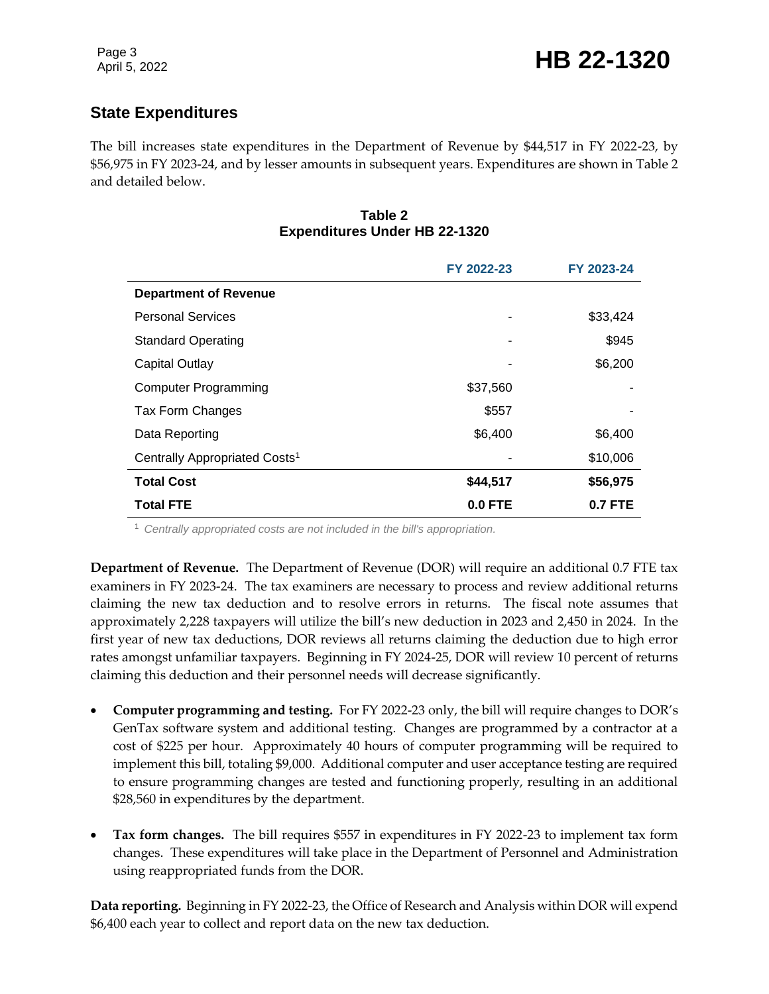## **State Expenditures**

The bill increases state expenditures in the Department of Revenue by \$44,517 in FY 2022-23, by \$56,975 in FY 2023-24, and by lesser amounts in subsequent years. Expenditures are shown in Table 2 and detailed below.

#### **Table 2 Expenditures Under HB 22-1320**

|                                           | FY 2022-23     | FY 2023-24 |
|-------------------------------------------|----------------|------------|
| <b>Department of Revenue</b>              |                |            |
| <b>Personal Services</b>                  |                | \$33,424   |
| <b>Standard Operating</b>                 |                | \$945      |
| Capital Outlay                            |                | \$6,200    |
| <b>Computer Programming</b>               | \$37,560       |            |
| Tax Form Changes                          | \$557          |            |
| Data Reporting                            | \$6,400        | \$6,400    |
| Centrally Appropriated Costs <sup>1</sup> |                | \$10,006   |
| <b>Total Cost</b>                         | \$44,517       | \$56,975   |
| <b>Total FTE</b>                          | <b>0.0 FTE</b> | 0.7 FTE    |

<sup>1</sup> *Centrally appropriated costs are not included in the bill's appropriation.*

**Department of Revenue.** The Department of Revenue (DOR) will require an additional 0.7 FTE tax examiners in FY 2023-24. The tax examiners are necessary to process and review additional returns claiming the new tax deduction and to resolve errors in returns. The fiscal note assumes that approximately 2,228 taxpayers will utilize the bill's new deduction in 2023 and 2,450 in 2024. In the first year of new tax deductions, DOR reviews all returns claiming the deduction due to high error rates amongst unfamiliar taxpayers. Beginning in FY 2024-25, DOR will review 10 percent of returns claiming this deduction and their personnel needs will decrease significantly.

- **Computer programming and testing.** For FY 2022-23 only, the bill will require changes to DOR's GenTax software system and additional testing. Changes are programmed by a contractor at a cost of \$225 per hour. Approximately 40 hours of computer programming will be required to implement this bill, totaling \$9,000. Additional computer and user acceptance testing are required to ensure programming changes are tested and functioning properly, resulting in an additional \$28,560 in expenditures by the department.
- **Tax form changes.** The bill requires \$557 in expenditures in FY 2022-23 to implement tax form changes. These expenditures will take place in the Department of Personnel and Administration using reappropriated funds from the DOR.

**Data reporting.** Beginning in FY 2022-23, the Office of Research and Analysis within DOR will expend \$6,400 each year to collect and report data on the new tax deduction.